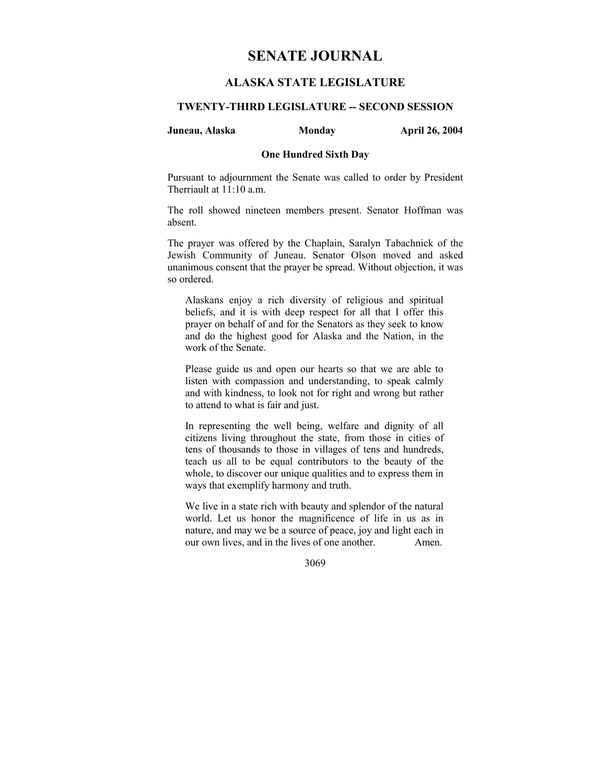# **SENATE JOURNAL**

# **ALASKA STATE LEGISLATURE**

### **TWENTY-THIRD LEGISLATURE -- SECOND SESSION**

### **Juneau, Alaska Monday April 26, 2004**

### **One Hundred Sixth Day**

Pursuant to adjournment the Senate was called to order by President Therriault at 11:10 a.m.

The roll showed nineteen members present. Senator Hoffman was absent.

The prayer was offered by the Chaplain, Saralyn Tabachnick of the Jewish Community of Juneau. Senator Olson moved and asked unanimous consent that the prayer be spread. Without objection, it was so ordered.

Alaskans enjoy a rich diversity of religious and spiritual beliefs, and it is with deep respect for all that I offer this prayer on behalf of and for the Senators as they seek to know and do the highest good for Alaska and the Nation, in the work of the Senate.

Please guide us and open our hearts so that we are able to listen with compassion and understanding, to speak calmly and with kindness, to look not for right and wrong but rather to attend to what is fair and just.

In representing the well being, welfare and dignity of all citizens living throughout the state, from those in cities of tens of thousands to those in villages of tens and hundreds, teach us all to be equal contributors to the beauty of the whole, to discover our unique qualities and to express them in ways that exemplify harmony and truth.

We live in a state rich with beauty and splendor of the natural world. Let us honor the magnificence of life in us as in nature, and may we be a source of peace, joy and light each in our own lives, and in the lives of one another. Amen.

3069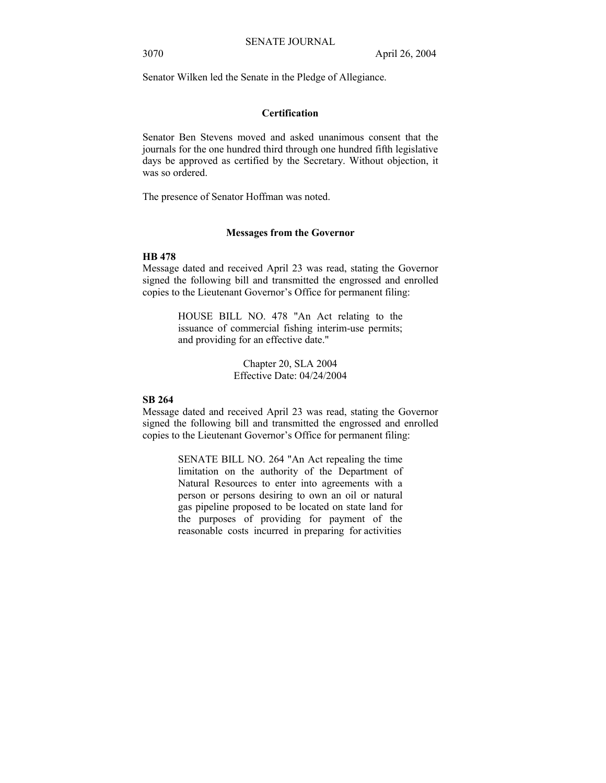Senator Wilken led the Senate in the Pledge of Allegiance.

### **Certification**

Senator Ben Stevens moved and asked unanimous consent that the journals for the one hundred third through one hundred fifth legislative days be approved as certified by the Secretary. Without objection, it was so ordered.

The presence of Senator Hoffman was noted.

#### **Messages from the Governor**

### **HB 478**

Message dated and received April 23 was read, stating the Governor signed the following bill and transmitted the engrossed and enrolled copies to the Lieutenant Governor's Office for permanent filing:

> HOUSE BILL NO. 478 "An Act relating to the issuance of commercial fishing interim-use permits; and providing for an effective date."

> > Chapter 20, SLA 2004 Effective Date: 04/24/2004

#### **SB 264**

Message dated and received April 23 was read, stating the Governor signed the following bill and transmitted the engrossed and enrolled copies to the Lieutenant Governor's Office for permanent filing:

> SENATE BILL NO. 264 "An Act repealing the time limitation on the authority of the Department of Natural Resources to enter into agreements with a person or persons desiring to own an oil or natural gas pipeline proposed to be located on state land for the purposes of providing for payment of the reasonable costs incurred in preparing for activities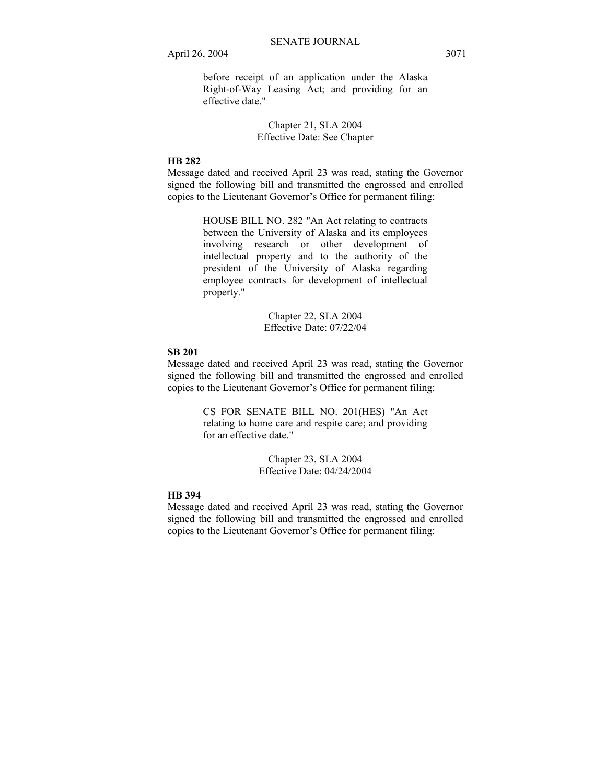before receipt of an application under the Alaska Right-of-Way Leasing Act; and providing for an effective date."

### Chapter 21, SLA 2004 Effective Date: See Chapter

### **HB 282**

Message dated and received April 23 was read, stating the Governor signed the following bill and transmitted the engrossed and enrolled copies to the Lieutenant Governor's Office for permanent filing:

> HOUSE BILL NO. 282 "An Act relating to contracts between the University of Alaska and its employees involving research or other development of intellectual property and to the authority of the president of the University of Alaska regarding employee contracts for development of intellectual property."

> > Chapter 22, SLA 2004 Effective Date: 07/22/04

#### **SB 201**

Message dated and received April 23 was read, stating the Governor signed the following bill and transmitted the engrossed and enrolled copies to the Lieutenant Governor's Office for permanent filing:

> CS FOR SENATE BILL NO. 201(HES) "An Act relating to home care and respite care; and providing for an effective date."

> > Chapter 23, SLA 2004 Effective Date: 04/24/2004

### **HB 394**

Message dated and received April 23 was read, stating the Governor signed the following bill and transmitted the engrossed and enrolled copies to the Lieutenant Governor's Office for permanent filing: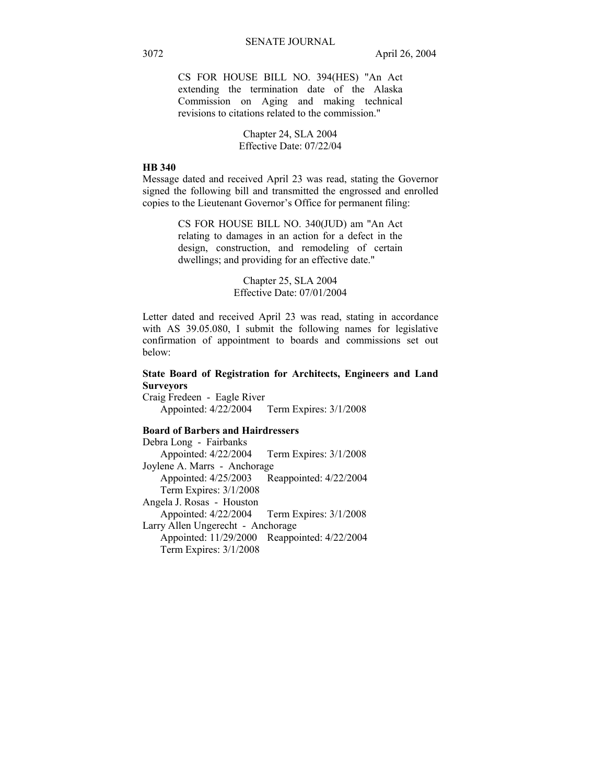CS FOR HOUSE BILL NO. 394(HES) "An Act extending the termination date of the Alaska Commission on Aging and making technical revisions to citations related to the commission."

> Chapter 24, SLA 2004 Effective Date: 07/22/04

#### **HB 340**

Message dated and received April 23 was read, stating the Governor signed the following bill and transmitted the engrossed and enrolled copies to the Lieutenant Governor's Office for permanent filing:

> CS FOR HOUSE BILL NO. 340(JUD) am "An Act relating to damages in an action for a defect in the design, construction, and remodeling of certain dwellings; and providing for an effective date."

> > Chapter 25, SLA 2004 Effective Date: 07/01/2004

Letter dated and received April 23 was read, stating in accordance with AS 39.05.080, I submit the following names for legislative confirmation of appointment to boards and commissions set out below:

### **State Board of Registration for Architects, Engineers and Land Surveyors**

Craig Fredeen - Eagle River Appointed: 4/22/2004 Term Expires: 3/1/2008

### **Board of Barbers and Hairdressers**

Debra Long - Fairbanks Appointed: 4/22/2004 Term Expires: 3/1/2008 Joylene A. Marrs - Anchorage Appointed: 4/25/2003 Reappointed: 4/22/2004 Term Expires: 3/1/2008 Angela J. Rosas - Houston Appointed: 4/22/2004 Term Expires: 3/1/2008 Larry Allen Ungerecht - Anchorage Appointed: 11/29/2000 Reappointed: 4/22/2004 Term Expires: 3/1/2008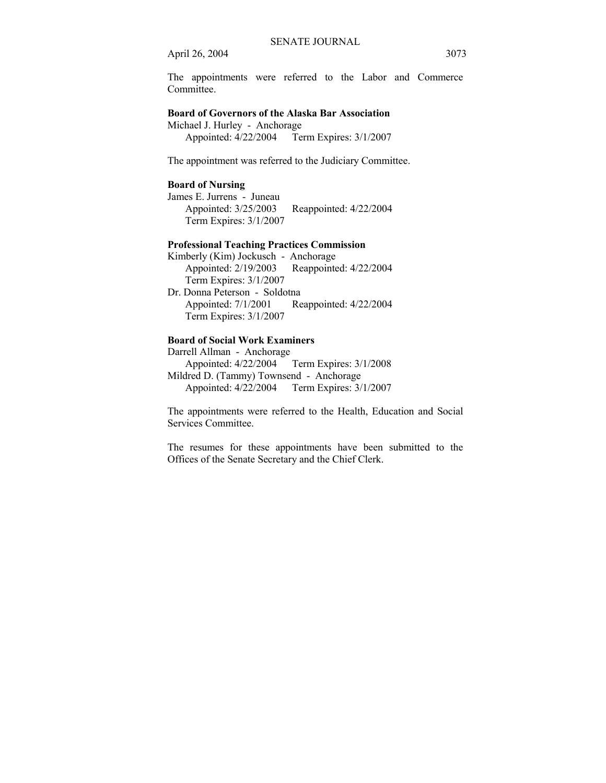The appointments were referred to the Labor and Commerce **Committee** 

### **Board of Governors of the Alaska Bar Association**

Michael J. Hurley - Anchorage

Appointed: 4/22/2004 Term Expires: 3/1/2007

The appointment was referred to the Judiciary Committee.

### **Board of Nursing**

James E. Jurrens - Juneau Appointed: 3/25/2003 Reappointed: 4/22/2004 Term Expires: 3/1/2007

## **Professional Teaching Practices Commission**

Kimberly (Kim) Jockusch - Anchorage Appointed: 2/19/2003 Reappointed: 4/22/2004 Term Expires: 3/1/2007 Dr. Donna Peterson - Soldotna Appointed: 7/1/2001 Reappointed: 4/22/2004 Term Expires: 3/1/2007

### **Board of Social Work Examiners**

Darrell Allman - Anchorage Appointed: 4/22/2004 Term Expires: 3/1/2008 Mildred D. (Tammy) Townsend - Anchorage Appointed: 4/22/2004 Term Expires: 3/1/2007

The appointments were referred to the Health, Education and Social Services Committee.

The resumes for these appointments have been submitted to the Offices of the Senate Secretary and the Chief Clerk.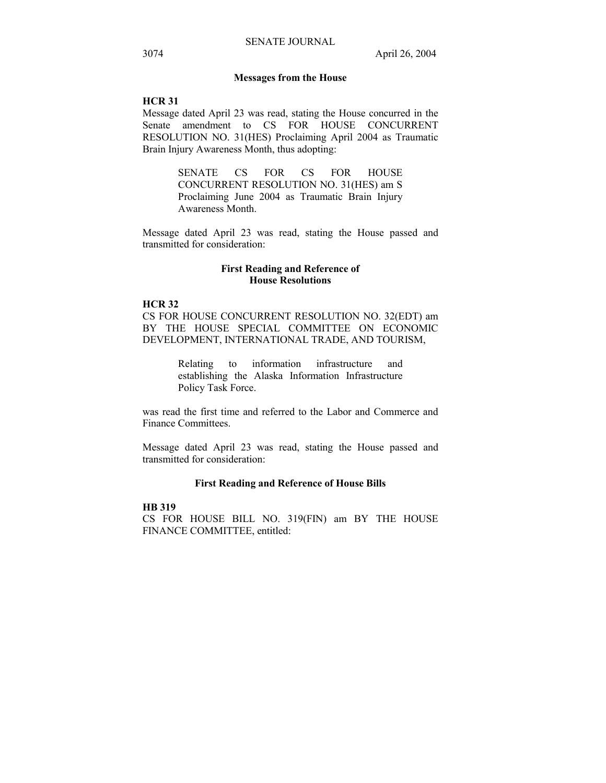### **Messages from the House**

#### **HCR 31**

Message dated April 23 was read, stating the House concurred in the Senate amendment to CS FOR HOUSE CONCURRENT RESOLUTION NO. 31(HES) Proclaiming April 2004 as Traumatic Brain Injury Awareness Month, thus adopting:

> SENATE CS FOR CS FOR HOUSE CONCURRENT RESOLUTION NO. 31(HES) am S Proclaiming June 2004 as Traumatic Brain Injury Awareness Month.

Message dated April 23 was read, stating the House passed and transmitted for consideration:

### **First Reading and Reference of House Resolutions**

### **HCR 32**

CS FOR HOUSE CONCURRENT RESOLUTION NO. 32(EDT) am BY THE HOUSE SPECIAL COMMITTEE ON ECONOMIC DEVELOPMENT, INTERNATIONAL TRADE, AND TOURISM,

> Relating to information infrastructure and establishing the Alaska Information Infrastructure Policy Task Force.

was read the first time and referred to the Labor and Commerce and Finance Committees.

Message dated April 23 was read, stating the House passed and transmitted for consideration:

### **First Reading and Reference of House Bills**

## **HB 319**

CS FOR HOUSE BILL NO. 319(FIN) am BY THE HOUSE FINANCE COMMITTEE, entitled: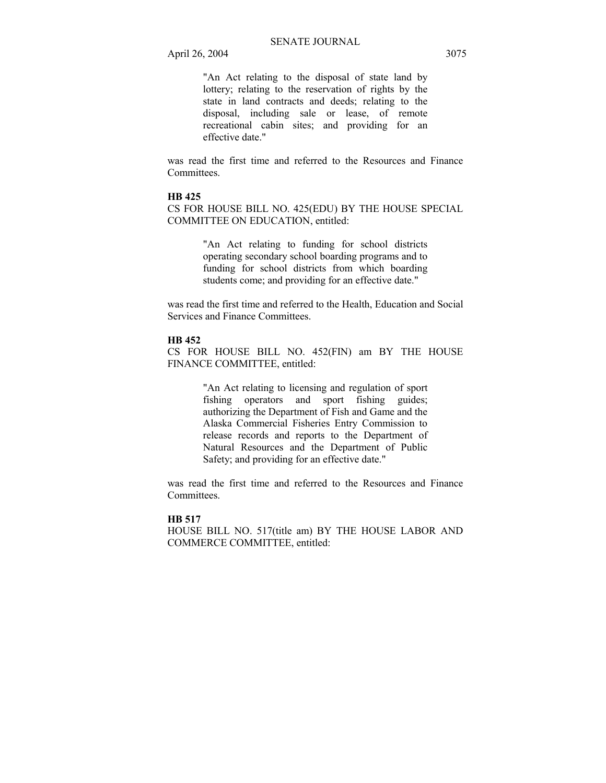"An Act relating to the disposal of state land by lottery; relating to the reservation of rights by the state in land contracts and deeds; relating to the disposal, including sale or lease, of remote recreational cabin sites; and providing for an effective date."

was read the first time and referred to the Resources and Finance **Committees** 

### **HB 425**

CS FOR HOUSE BILL NO. 425(EDU) BY THE HOUSE SPECIAL COMMITTEE ON EDUCATION, entitled:

> "An Act relating to funding for school districts operating secondary school boarding programs and to funding for school districts from which boarding students come; and providing for an effective date."

was read the first time and referred to the Health, Education and Social Services and Finance Committees.

#### **HB 452**

CS FOR HOUSE BILL NO. 452(FIN) am BY THE HOUSE FINANCE COMMITTEE, entitled:

> "An Act relating to licensing and regulation of sport fishing operators and sport fishing guides; authorizing the Department of Fish and Game and the Alaska Commercial Fisheries Entry Commission to release records and reports to the Department of Natural Resources and the Department of Public Safety; and providing for an effective date."

was read the first time and referred to the Resources and Finance Committees.

#### **HB 517**

HOUSE BILL NO. 517(title am) BY THE HOUSE LABOR AND COMMERCE COMMITTEE, entitled: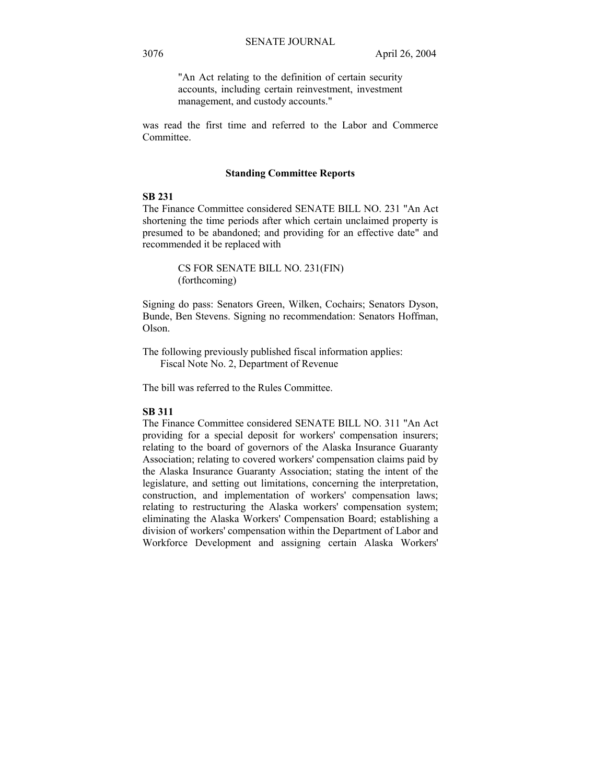"An Act relating to the definition of certain security accounts, including certain reinvestment, investment management, and custody accounts."

was read the first time and referred to the Labor and Commerce Committee.

#### **Standing Committee Reports**

### **SB 231**

The Finance Committee considered SENATE BILL NO. 231 "An Act shortening the time periods after which certain unclaimed property is presumed to be abandoned; and providing for an effective date" and recommended it be replaced with

> CS FOR SENATE BILL NO. 231(FIN) (forthcoming)

Signing do pass: Senators Green, Wilken, Cochairs; Senators Dyson, Bunde, Ben Stevens. Signing no recommendation: Senators Hoffman, Olson.

The following previously published fiscal information applies: Fiscal Note No. 2, Department of Revenue

The bill was referred to the Rules Committee.

### **SB 311**

The Finance Committee considered SENATE BILL NO. 311 "An Act providing for a special deposit for workers' compensation insurers; relating to the board of governors of the Alaska Insurance Guaranty Association; relating to covered workers' compensation claims paid by the Alaska Insurance Guaranty Association; stating the intent of the legislature, and setting out limitations, concerning the interpretation, construction, and implementation of workers' compensation laws; relating to restructuring the Alaska workers' compensation system; eliminating the Alaska Workers' Compensation Board; establishing a division of workers' compensation within the Department of Labor and Workforce Development and assigning certain Alaska Workers'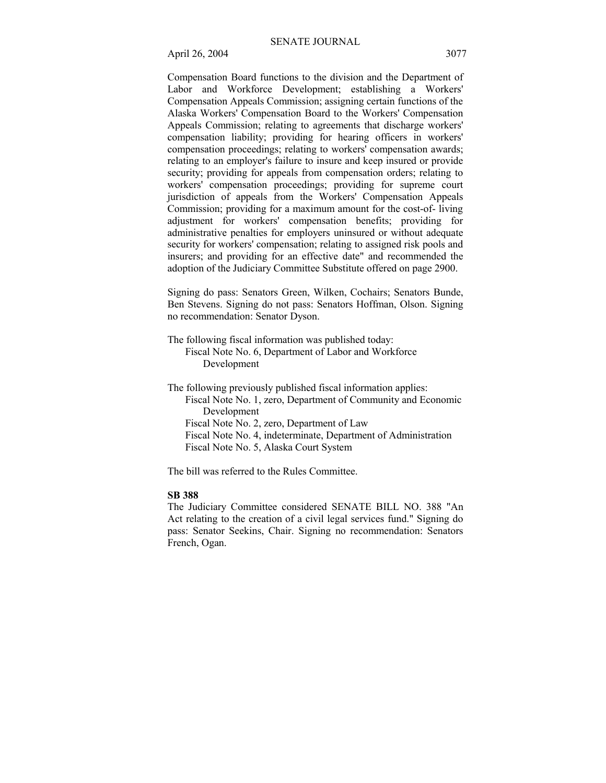Compensation Board functions to the division and the Department of Labor and Workforce Development; establishing a Workers' Compensation Appeals Commission; assigning certain functions of the Alaska Workers' Compensation Board to the Workers' Compensation Appeals Commission; relating to agreements that discharge workers' compensation liability; providing for hearing officers in workers' compensation proceedings; relating to workers' compensation awards; relating to an employer's failure to insure and keep insured or provide security; providing for appeals from compensation orders; relating to workers' compensation proceedings; providing for supreme court jurisdiction of appeals from the Workers' Compensation Appeals Commission; providing for a maximum amount for the cost-of- living adjustment for workers' compensation benefits; providing for administrative penalties for employers uninsured or without adequate security for workers' compensation; relating to assigned risk pools and insurers; and providing for an effective date" and recommended the adoption of the Judiciary Committee Substitute offered on page 2900.

Signing do pass: Senators Green, Wilken, Cochairs; Senators Bunde, Ben Stevens. Signing do not pass: Senators Hoffman, Olson. Signing no recommendation: Senator Dyson.

The following fiscal information was published today: Fiscal Note No. 6, Department of Labor and Workforce Development

The following previously published fiscal information applies: Fiscal Note No. 1, zero, Department of Community and Economic Development Fiscal Note No. 2, zero, Department of Law Fiscal Note No. 4, indeterminate, Department of Administration Fiscal Note No. 5, Alaska Court System

The bill was referred to the Rules Committee.

### **SB 388**

The Judiciary Committee considered SENATE BILL NO. 388 "An Act relating to the creation of a civil legal services fund." Signing do pass: Senator Seekins, Chair. Signing no recommendation: Senators French, Ogan.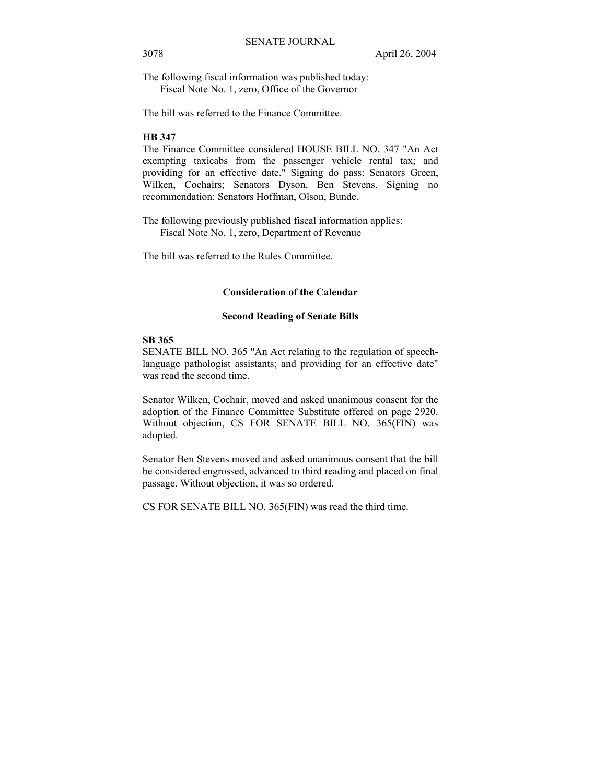The following fiscal information was published today: Fiscal Note No. 1, zero, Office of the Governor

The bill was referred to the Finance Committee.

## **HB 347**

The Finance Committee considered HOUSE BILL NO. 347 "An Act exempting taxicabs from the passenger vehicle rental tax; and providing for an effective date." Signing do pass: Senators Green, Wilken, Cochairs; Senators Dyson, Ben Stevens. Signing no recommendation: Senators Hoffman, Olson, Bunde.

The following previously published fiscal information applies: Fiscal Note No. 1, zero, Department of Revenue

The bill was referred to the Rules Committee.

#### **Consideration of the Calendar**

#### **Second Reading of Senate Bills**

### **SB 365**

SENATE BILL NO. 365 "An Act relating to the regulation of speechlanguage pathologist assistants; and providing for an effective date" was read the second time.

Senator Wilken, Cochair, moved and asked unanimous consent for the adoption of the Finance Committee Substitute offered on page 2920. Without objection, CS FOR SENATE BILL NO. 365(FIN) was adopted.

Senator Ben Stevens moved and asked unanimous consent that the bill be considered engrossed, advanced to third reading and placed on final passage. Without objection, it was so ordered.

CS FOR SENATE BILL NO. 365(FIN) was read the third time.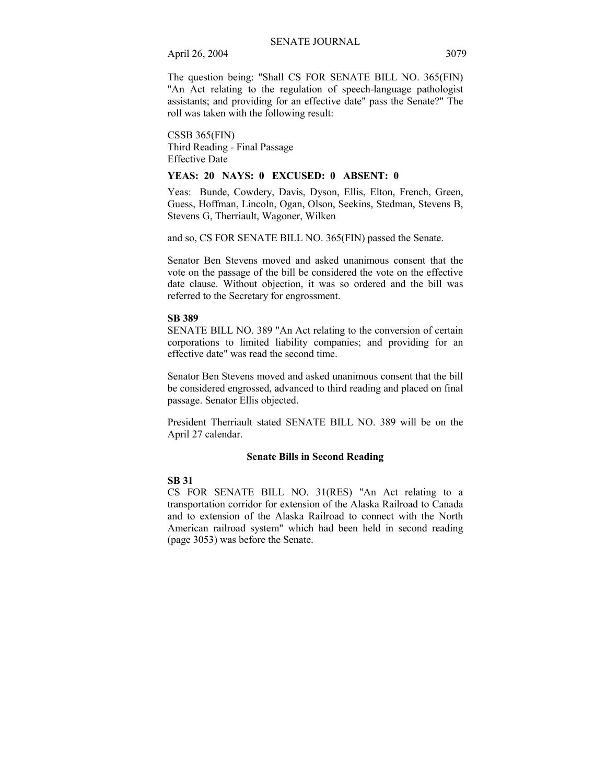The question being: "Shall CS FOR SENATE BILL NO. 365(FIN) "An Act relating to the regulation of speech-language pathologist assistants; and providing for an effective date" pass the Senate?" The roll was taken with the following result:

CSSB 365(FIN) Third Reading - Final Passage Effective Date

#### **YEAS: 20 NAYS: 0 EXCUSED: 0 ABSENT: 0**

Yeas: Bunde, Cowdery, Davis, Dyson, Ellis, Elton, French, Green, Guess, Hoffman, Lincoln, Ogan, Olson, Seekins, Stedman, Stevens B, Stevens G, Therriault, Wagoner, Wilken

and so, CS FOR SENATE BILL NO. 365(FIN) passed the Senate.

Senator Ben Stevens moved and asked unanimous consent that the vote on the passage of the bill be considered the vote on the effective date clause. Without objection, it was so ordered and the bill was referred to the Secretary for engrossment.

#### **SB 389**

SENATE BILL NO. 389 "An Act relating to the conversion of certain corporations to limited liability companies; and providing for an effective date" was read the second time.

Senator Ben Stevens moved and asked unanimous consent that the bill be considered engrossed, advanced to third reading and placed on final passage. Senator Ellis objected.

President Therriault stated SENATE BILL NO. 389 will be on the April 27 calendar.

### **Senate Bills in Second Reading**

### **SB 31**

CS FOR SENATE BILL NO. 31(RES) "An Act relating to a transportation corridor for extension of the Alaska Railroad to Canada and to extension of the Alaska Railroad to connect with the North American railroad system" which had been held in second reading (page 3053) was before the Senate.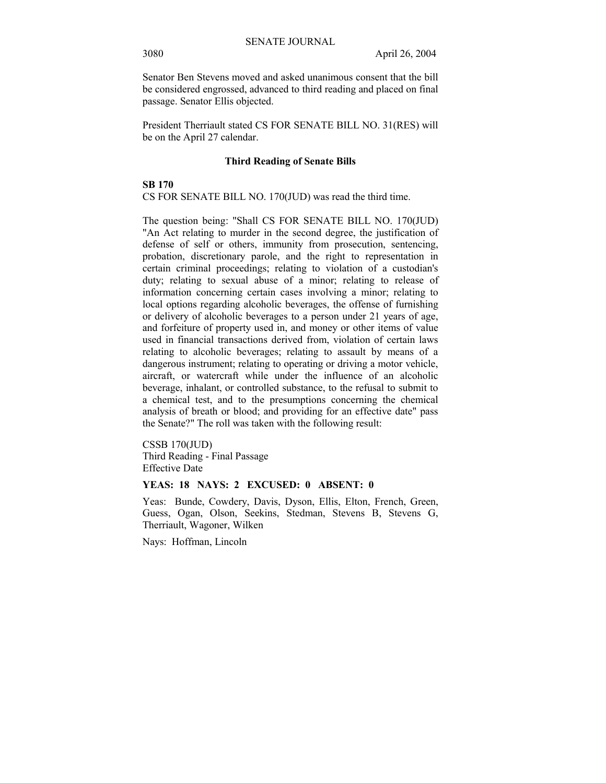Senator Ben Stevens moved and asked unanimous consent that the bill be considered engrossed, advanced to third reading and placed on final passage. Senator Ellis objected.

President Therriault stated CS FOR SENATE BILL NO. 31(RES) will be on the April 27 calendar.

#### **Third Reading of Senate Bills**

# **SB 170**

CS FOR SENATE BILL NO. 170(JUD) was read the third time.

The question being: "Shall CS FOR SENATE BILL NO. 170(JUD) "An Act relating to murder in the second degree, the justification of defense of self or others, immunity from prosecution, sentencing, probation, discretionary parole, and the right to representation in certain criminal proceedings; relating to violation of a custodian's duty; relating to sexual abuse of a minor; relating to release of information concerning certain cases involving a minor; relating to local options regarding alcoholic beverages, the offense of furnishing or delivery of alcoholic beverages to a person under 21 years of age, and forfeiture of property used in, and money or other items of value used in financial transactions derived from, violation of certain laws relating to alcoholic beverages; relating to assault by means of a dangerous instrument; relating to operating or driving a motor vehicle, aircraft, or watercraft while under the influence of an alcoholic beverage, inhalant, or controlled substance, to the refusal to submit to a chemical test, and to the presumptions concerning the chemical analysis of breath or blood; and providing for an effective date" pass the Senate?" The roll was taken with the following result:

CSSB 170(JUD) Third Reading - Final Passage Effective Date

### **YEAS: 18 NAYS: 2 EXCUSED: 0 ABSENT: 0**

Yeas: Bunde, Cowdery, Davis, Dyson, Ellis, Elton, French, Green, Guess, Ogan, Olson, Seekins, Stedman, Stevens B, Stevens G, Therriault, Wagoner, Wilken

Nays: Hoffman, Lincoln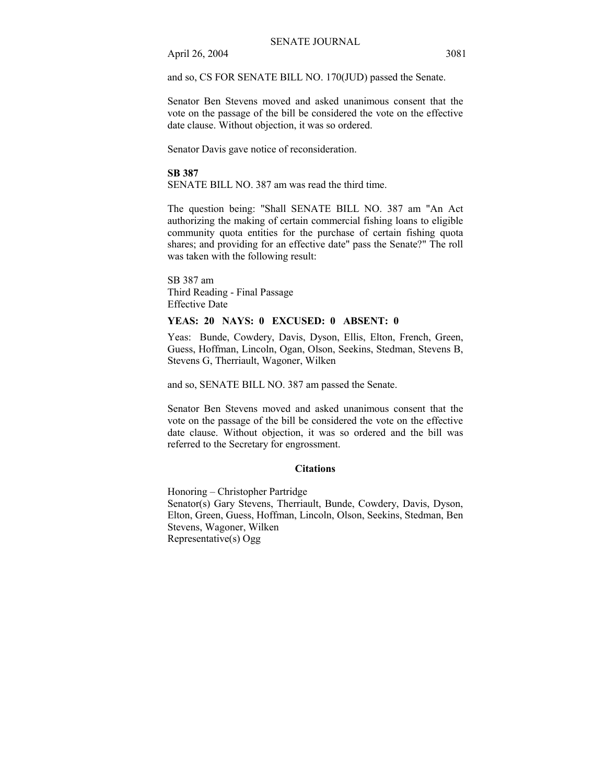and so, CS FOR SENATE BILL NO. 170(JUD) passed the Senate.

Senator Ben Stevens moved and asked unanimous consent that the vote on the passage of the bill be considered the vote on the effective date clause. Without objection, it was so ordered.

Senator Davis gave notice of reconsideration.

#### **SB 387**

SENATE BILL NO. 387 am was read the third time.

The question being: "Shall SENATE BILL NO. 387 am "An Act authorizing the making of certain commercial fishing loans to eligible community quota entities for the purchase of certain fishing quota shares; and providing for an effective date" pass the Senate?" The roll was taken with the following result:

SB 387 am Third Reading - Final Passage Effective Date

### **YEAS: 20 NAYS: 0 EXCUSED: 0 ABSENT: 0**

Yeas: Bunde, Cowdery, Davis, Dyson, Ellis, Elton, French, Green, Guess, Hoffman, Lincoln, Ogan, Olson, Seekins, Stedman, Stevens B, Stevens G, Therriault, Wagoner, Wilken

and so, SENATE BILL NO. 387 am passed the Senate.

Senator Ben Stevens moved and asked unanimous consent that the vote on the passage of the bill be considered the vote on the effective date clause. Without objection, it was so ordered and the bill was referred to the Secretary for engrossment.

#### **Citations**

Honoring – Christopher Partridge Senator(s) Gary Stevens, Therriault, Bunde, Cowdery, Davis, Dyson, Elton, Green, Guess, Hoffman, Lincoln, Olson, Seekins, Stedman, Ben Stevens, Wagoner, Wilken Representative(s) Ogg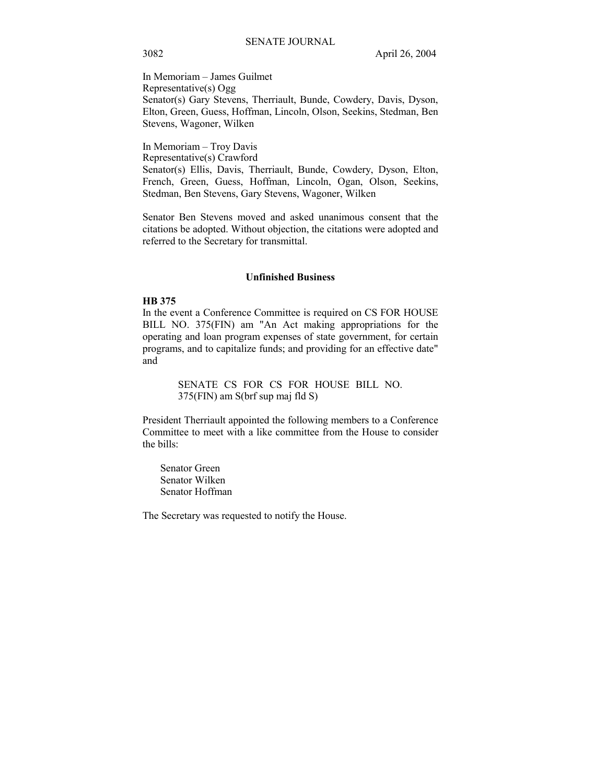In Memoriam - James Guilmet Representative(s) Ogg Senator(s) Gary Stevens, Therriault, Bunde, Cowdery, Davis, Dyson, Elton, Green, Guess, Hoffman, Lincoln, Olson, Seekins, Stedman, Ben Stevens, Wagoner, Wilken

In Memoriam - Troy Davis Representative(s) Crawford Senator(s) Ellis, Davis, Therriault, Bunde, Cowdery, Dyson, Elton, French, Green, Guess, Hoffman, Lincoln, Ogan, Olson, Seekins, Stedman, Ben Stevens, Gary Stevens, Wagoner, Wilken

Senator Ben Stevens moved and asked unanimous consent that the citations be adopted. Without objection, the citations were adopted and referred to the Secretary for transmittal.

### **Unfinished Business**

### **HB 375**

In the event a Conference Committee is required on CS FOR HOUSE BILL NO. 375(FIN) am "An Act making appropriations for the operating and loan program expenses of state government, for certain programs, and to capitalize funds; and providing for an effective date" and

> SENATE CS FOR CS FOR HOUSE BILL NO. 375(FIN) am S(brf sup maj fld S)

President Therriault appointed the following members to a Conference Committee to meet with a like committee from the House to consider the bills:

Senator Green Senator Wilken Senator Hoffman

The Secretary was requested to notify the House.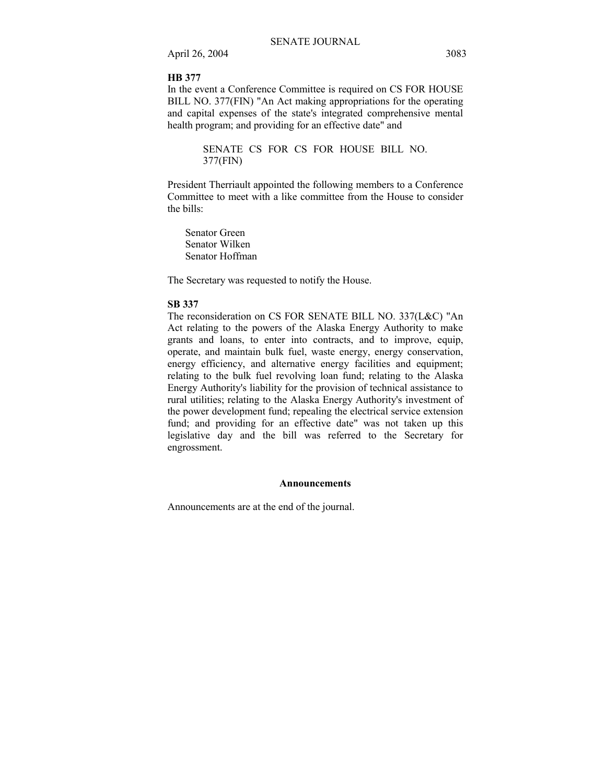#### **HB 377**

In the event a Conference Committee is required on CS FOR HOUSE BILL NO. 377(FIN) "An Act making appropriations for the operating and capital expenses of the state's integrated comprehensive mental health program; and providing for an effective date" and

> SENATE CS FOR CS FOR HOUSE BILL NO. 377(FIN)

President Therriault appointed the following members to a Conference Committee to meet with a like committee from the House to consider the bills:

Senator Green Senator Wilken Senator Hoffman

The Secretary was requested to notify the House.

### **SB 337**

The reconsideration on CS FOR SENATE BILL NO. 337(L&C) "An Act relating to the powers of the Alaska Energy Authority to make grants and loans, to enter into contracts, and to improve, equip, operate, and maintain bulk fuel, waste energy, energy conservation, energy efficiency, and alternative energy facilities and equipment; relating to the bulk fuel revolving loan fund; relating to the Alaska Energy Authority's liability for the provision of technical assistance to rural utilities; relating to the Alaska Energy Authority's investment of the power development fund; repealing the electrical service extension fund; and providing for an effective date" was not taken up this legislative day and the bill was referred to the Secretary for engrossment.

### **Announcements**

Announcements are at the end of the journal.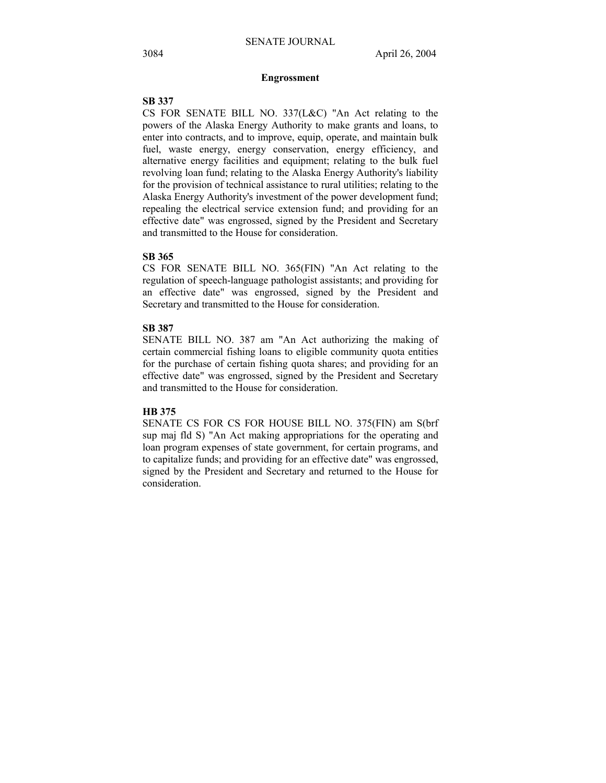#### **Engrossment**

### **SB 337**

CS FOR SENATE BILL NO. 337(L&C) "An Act relating to the powers of the Alaska Energy Authority to make grants and loans, to enter into contracts, and to improve, equip, operate, and maintain bulk fuel, waste energy, energy conservation, energy efficiency, and alternative energy facilities and equipment; relating to the bulk fuel revolving loan fund; relating to the Alaska Energy Authority's liability for the provision of technical assistance to rural utilities; relating to the Alaska Energy Authority's investment of the power development fund; repealing the electrical service extension fund; and providing for an effective date" was engrossed, signed by the President and Secretary and transmitted to the House for consideration.

#### **SB 365**

CS FOR SENATE BILL NO. 365(FIN) "An Act relating to the regulation of speech-language pathologist assistants; and providing for an effective date" was engrossed, signed by the President and Secretary and transmitted to the House for consideration.

#### **SB 387**

SENATE BILL NO. 387 am "An Act authorizing the making of certain commercial fishing loans to eligible community quota entities for the purchase of certain fishing quota shares; and providing for an effective date" was engrossed, signed by the President and Secretary and transmitted to the House for consideration.

#### **HB 375**

SENATE CS FOR CS FOR HOUSE BILL NO. 375(FIN) am S(brf sup maj fld S) "An Act making appropriations for the operating and loan program expenses of state government, for certain programs, and to capitalize funds; and providing for an effective date" was engrossed, signed by the President and Secretary and returned to the House for consideration.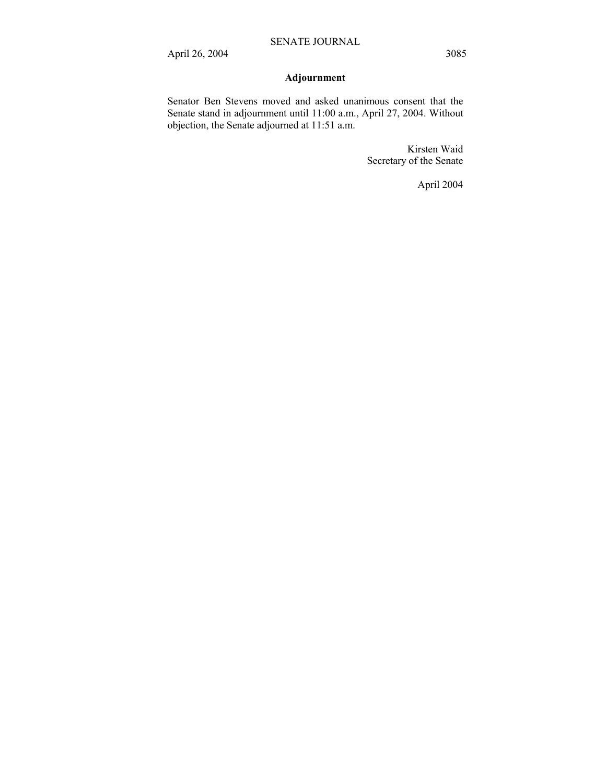# **Adjournment**

Senator Ben Stevens moved and asked unanimous consent that the Senate stand in adjournment until 11:00 a.m., April 27, 2004. Without objection, the Senate adjourned at 11:51 a.m.

> Kirsten Waid Secretary of the Senate

> > April 2004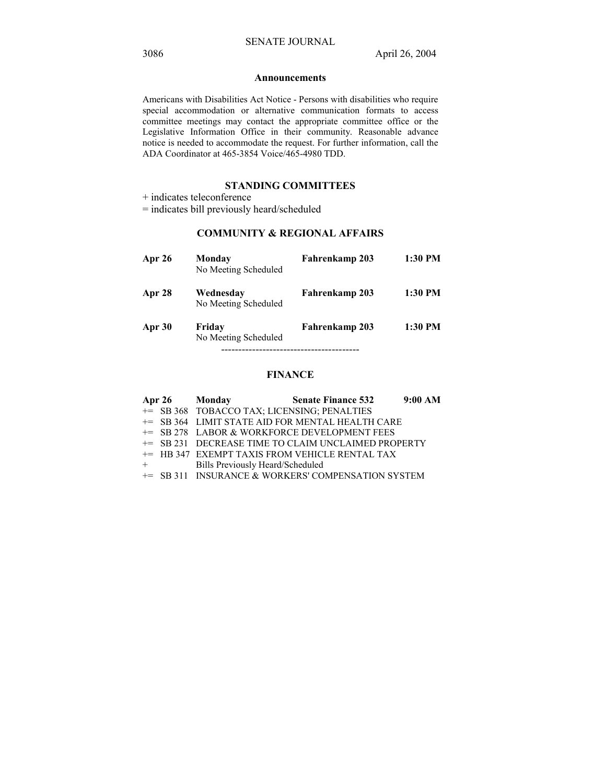#### **Announcements**

Americans with Disabilities Act Notice - Persons with disabilities who require special accommodation or alternative communication formats to access committee meetings may contact the appropriate committee office or the Legislative Information Office in their community. Reasonable advance notice is needed to accommodate the request. For further information, call the ADA Coordinator at 465-3854 Voice/465-4980 TDD.

## **STANDING COMMITTEES**

+ indicates teleconference

= indicates bill previously heard/scheduled

# **COMMUNITY & REGIONAL AFFAIRS**

| Apr 26 | Monday<br>No Meeting Scheduled    | Fahrenkamp 203 | 1:30 PM |
|--------|-----------------------------------|----------------|---------|
| Apr 28 | Wednesday<br>No Meeting Scheduled | Fahrenkamp 203 | 1:30 PM |
| Apr 30 | Friday<br>No Meeting Scheduled    | Fahrenkamp 203 | 1:30 PM |

## **FINANCE**

|         | Apr 26 Monday                               | <b>Senate Finance 532</b>                           | 9:00 AM |
|---------|---------------------------------------------|-----------------------------------------------------|---------|
|         | += SB 368 TOBACCO TAX; LICENSING; PENALTIES |                                                     |         |
|         |                                             | += SB 364 LIMIT STATE AID FOR MENTAL HEALTH CARE    |         |
|         |                                             | += SB 278 LABOR & WORKFORCE DEVELOPMENT FEES        |         |
|         |                                             | += SB 231 DECREASE TIME TO CLAIM UNCLAIMED PROPERTY |         |
|         |                                             | += HB 347 EXEMPT TAXIS FROM VEHICLE RENTAL TAX      |         |
| $+$ $-$ | Bills Previously Heard/Scheduled            |                                                     |         |
|         |                                             | += SB 311 INSURANCE & WORKERS' COMPENSATION SYSTEM  |         |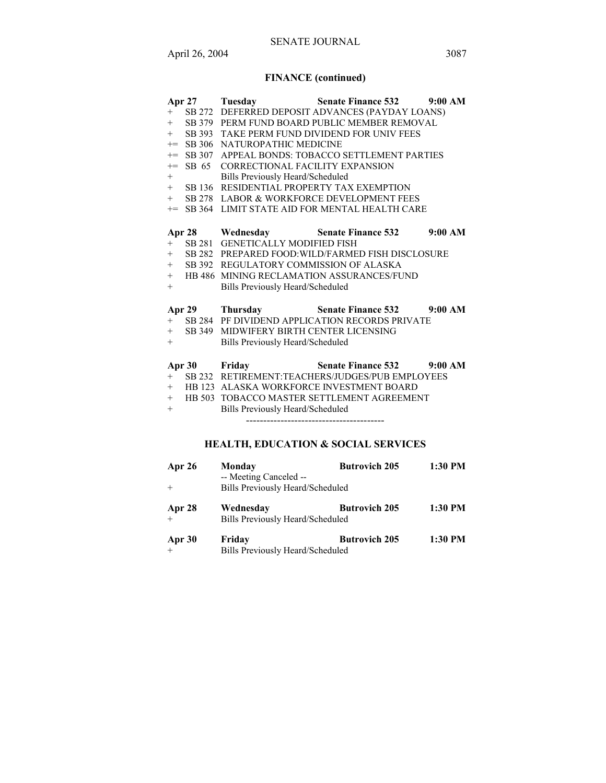# **FINANCE (continued)**

| $+$<br>$+$<br>$+$        | $+$ SB 379<br>$+$ SB 393<br>$+=$ SB 306<br>$+=$ SB 307<br>$+=$ SB 65<br>SB 136<br>SB 278 | Apr 27 Tuesday<br>NATUROPATHIC MEDICINE<br>CORRECTIONAL FACILITY EXPANSION<br><b>Bills Previously Heard/Scheduled</b><br>RESIDENTIAL PROPERTY TAX EXEMPTION | <b>Senate Finance 532</b> 9:00 AM<br>+ SB 272 DEFERRED DEPOSIT ADVANCES (PAYDAY LOANS)<br>PERM FUND BOARD PUBLIC MEMBER REMOVAL<br>TAKE PERM FUND DIVIDEND FOR UNIV FEES<br>APPEAL BONDS: TOBACCO SETTLEMENT PARTIES<br>LABOR & WORKFORCE DEVELOPMENT FEES<br>+= SB 364 LIMIT STATE AID FOR MENTAL HEALTH CARE |         |
|--------------------------|------------------------------------------------------------------------------------------|-------------------------------------------------------------------------------------------------------------------------------------------------------------|----------------------------------------------------------------------------------------------------------------------------------------------------------------------------------------------------------------------------------------------------------------------------------------------------------------|---------|
| $+$<br>$+$               | SB 392<br>$+$ HB 486                                                                     | + SB 281 GENETICALLY MODIFIED FISH<br>REGULATORY COMMISSION OF ALASKA<br>Bills Previously Heard/Scheduled                                                   | Apr 28 Wednesday Senate Finance 532<br>+ SB 282 PREPARED FOOD: WILD/FARMED FISH DISCLOSURE<br>MINING RECLAMATION ASSURANCES/FUND                                                                                                                                                                               | 9:00 AM |
| $+$<br>$+$               | Apr $29$<br>SB 349                                                                       | MIDWIFERY BIRTH CENTER LICENSING<br><b>Bills Previously Heard/Scheduled</b>                                                                                 | Thursday Senate Finance 532 9:00 AM<br>+ SB 284 PF DIVIDEND APPLICATION RECORDS PRIVATE                                                                                                                                                                                                                        |         |
| $+$<br>$+$<br>$+$<br>$+$ |                                                                                          | Apr 30 Friday<br><b>Bills Previously Heard/Scheduled</b>                                                                                                    | Senate Finance 532 9:00 AM<br>SB 232 RETIREMENT:TEACHERS/JUDGES/PUB EMPLOYEES<br>HB 123 ALASKA WORKFORCE INVESTMENT BOARD<br>HB 503 TOBACCO MASTER SETTLEMENT AGREEMENT<br><b>HEALTH, EDUCATION &amp; SOCIAL SERVICES</b>                                                                                      |         |

| Apr 26 | Monday<br>-- Meeting Canceled --              | <b>Butrovich 205</b> | 1:30 PM |
|--------|-----------------------------------------------|----------------------|---------|
| $+$    | Bills Previously Heard/Scheduled              |                      |         |
| Apr 28 | Wednesday<br>Bills Previously Heard/Scheduled | <b>Butrovich 205</b> | 1:30 PM |
| Apr 30 | Friday<br>Bills Previously Heard/Scheduled    | <b>Butrovich 205</b> | 1:30 PM |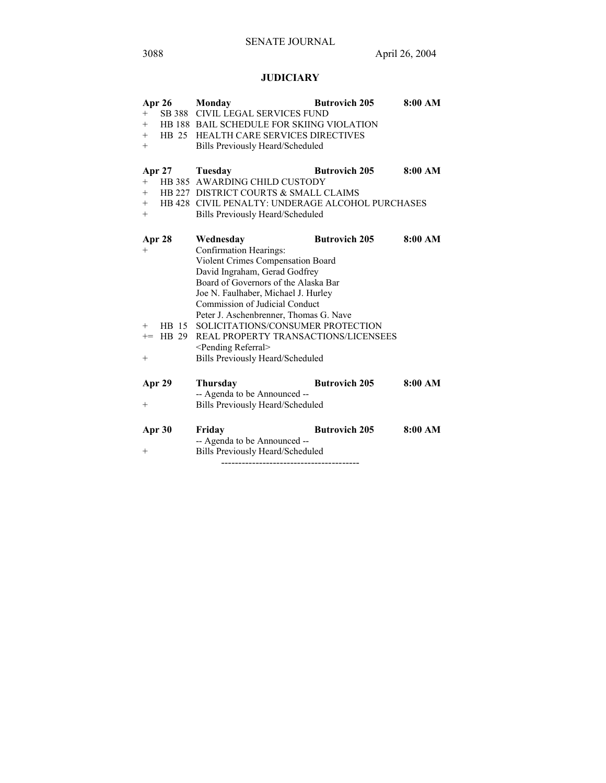# **JUDICIARY**

|                                  | Apr 26 | Monday                                           | <b>Butrovich 205</b> | 8:00 AM |
|----------------------------------|--------|--------------------------------------------------|----------------------|---------|
| $+$                              |        | SB 388 CIVIL LEGAL SERVICES FUND                 |                      |         |
| $^+$                             |        | HB 188 BAIL SCHEDULE FOR SKIING VIOLATION        |                      |         |
| $^{+}$                           |        | <b>HB 25 HEALTH CARE SERVICES DIRECTIVES</b>     |                      |         |
| $^{+}$                           |        | Bills Previously Heard/Scheduled                 |                      |         |
|                                  |        |                                                  |                      |         |
|                                  |        | Apr 27 Tuesday                                   | <b>Butrovich 205</b> | 8:00 AM |
| $+$                              |        | HB 385 AWARDING CHILD CUSTODY                    |                      |         |
| $+$                              |        | HB 227 DISTRICT COURTS & SMALL CLAIMS            |                      |         |
| $^{+}$                           |        | HB 428 CIVIL PENALTY: UNDERAGE ALCOHOL PURCHASES |                      |         |
| $^+$                             |        | Bills Previously Heard/Scheduled                 |                      |         |
|                                  |        |                                                  |                      |         |
| Apr 28                           |        | Wednesday                                        | <b>Butrovich 205</b> | 8:00 AM |
| $+$                              |        | Confirmation Hearings:                           |                      |         |
|                                  |        | Violent Crimes Compensation Board                |                      |         |
|                                  |        | David Ingraham, Gerad Godfrey                    |                      |         |
|                                  |        | Board of Governors of the Alaska Bar             |                      |         |
|                                  |        | Joe N. Faulhaber, Michael J. Hurley              |                      |         |
|                                  |        | Commission of Judicial Conduct                   |                      |         |
|                                  |        | Peter J. Aschenbrenner, Thomas G. Nave           |                      |         |
| $^{+}$                           |        | HB 15 SOLICITATIONS/CONSUMER PROTECTION          |                      |         |
| $+=$                             | HB 29  | REAL PROPERTY TRANSACTIONS/LICENSEES             |                      |         |
|                                  |        | <pending referral=""></pending>                  |                      |         |
| $^+$                             |        | <b>Bills Previously Heard/Scheduled</b>          |                      |         |
|                                  |        |                                                  |                      |         |
| Apr 29                           |        | <b>Thursday</b>                                  | <b>Butrovich 205</b> | 8:00 AM |
|                                  |        | -- Agenda to be Announced --                     |                      |         |
| $\hspace{0.1mm} +\hspace{0.1mm}$ |        | Bills Previously Heard/Scheduled                 |                      |         |
|                                  |        |                                                  |                      |         |
| Apr 30                           |        | Friday                                           | <b>Butrovich 205</b> | 8:00 AM |
|                                  |        | -- Agenda to be Announced --                     |                      |         |
| $\hspace{0.1mm} +\hspace{0.1mm}$ |        | Bills Previously Heard/Scheduled                 |                      |         |
|                                  |        |                                                  |                      |         |
|                                  |        |                                                  |                      |         |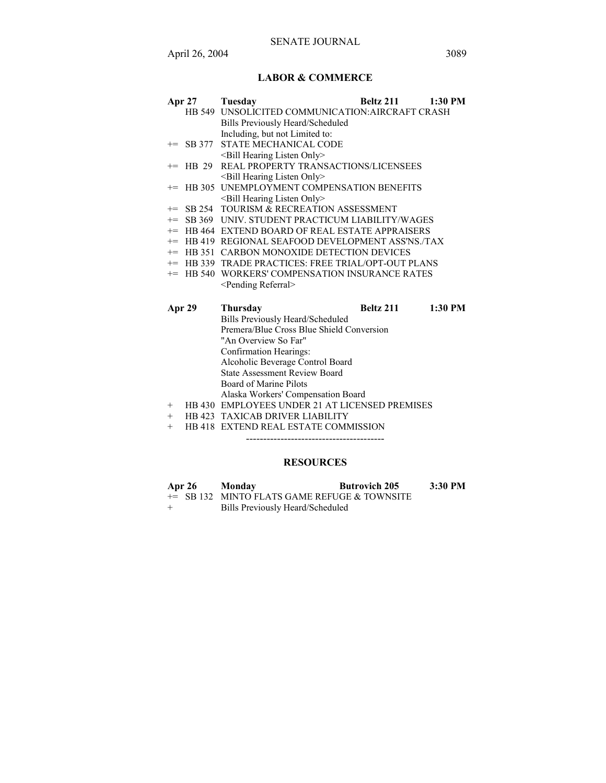## **LABOR & COMMERCE**

|  | Apr 27 Tuesday                                   | Beltz 211 1:30 PM |  |
|--|--------------------------------------------------|-------------------|--|
|  | HB 549 UNSOLICITED COMMUNICATION: AIRCRAFT CRASH |                   |  |
|  | Bills Previously Heard/Scheduled                 |                   |  |
|  | Including, but not Limited to:                   |                   |  |
|  | += SB 377 STATE MECHANICAL CODE                  |                   |  |
|  | <bill hearing="" listen="" only=""></bill>       |                   |  |
|  | += HB 29 REAL PROPERTY TRANSACTIONS/LICENSEES    |                   |  |

- <Bill Hearing Listen Only>
- += HB 305 UNEMPLOYMENT COMPENSATION BENEFITS <Bill Hearing Listen Only>
- += SB 254 TOURISM & RECREATION ASSESSMENT
- += SB 369 UNIV. STUDENT PRACTICUM LIABILITY/WAGES
- += HB 464 EXTEND BOARD OF REAL ESTATE APPRAISERS
- += HB 419 REGIONAL SEAFOOD DEVELOPMENT ASS'NS./TAX
- += HB 351 CARBON MONOXIDE DETECTION DEVICES
- += HB 339 TRADE PRACTICES: FREE TRIAL/OPT-OUT PLANS
- += HB 540 WORKERS' COMPENSATION INSURANCE RATES <Pending Referral>

| Apr 29 | <b>Thursday</b>                                | Beltz 211 | 1:30 PM |
|--------|------------------------------------------------|-----------|---------|
|        | Bills Previously Heard/Scheduled               |           |         |
|        | Premera/Blue Cross Blue Shield Conversion      |           |         |
|        | "An Overview So Far"                           |           |         |
|        | Confirmation Hearings:                         |           |         |
|        | Alcoholic Beverage Control Board               |           |         |
|        | <b>State Assessment Review Board</b>           |           |         |
|        | Board of Marine Pilots                         |           |         |
|        | Alaska Workers' Compensation Board             |           |         |
| $^{+}$ | HB 430 EMPLOYEES UNDER 21 AT LICENSED PREMISES |           |         |
| $^{+}$ | <b>HB 423 TAXICAB DRIVER LIABILITY</b>         |           |         |
|        | HD 410 EVTENIN DE AL ECT ATE COMMICCION        |           |         |

+ HB 418 EXTEND REAL ESTATE COMMISSION ----------------------------------------

#### **RESOURCES**

| Apr 26 | Monday | <b>Butrovich 205</b>                           | 3:30 PM |
|--------|--------|------------------------------------------------|---------|
|        |        | $+=$ SB 132 MINTO FLATS GAME REFUGE & TOWNSITE |         |

+ Bills Previously Heard/Scheduled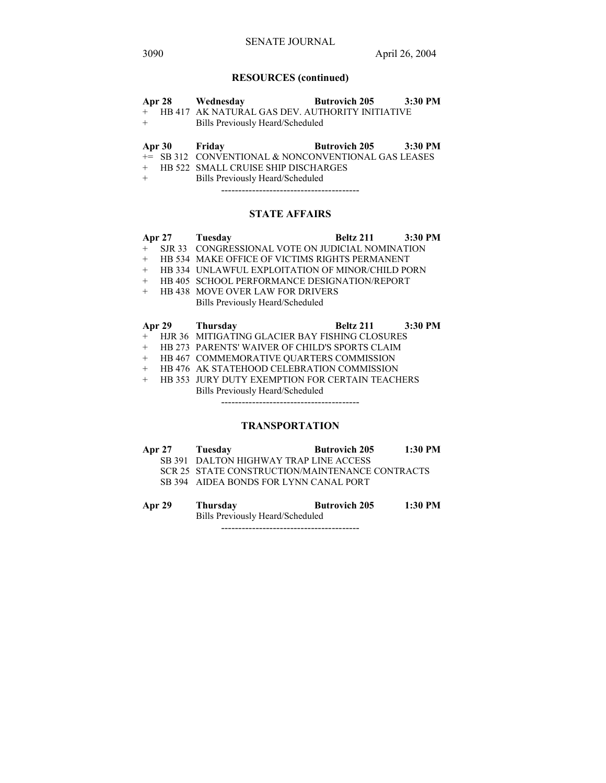# **RESOURCES (continued)**

|     | Apr 28 Wednesday                                    | Butrovich 205 3:30 PM |  |
|-----|-----------------------------------------------------|-----------------------|--|
|     | + HB 417 AK NATURAL GAS DEV. AUTHORITY INITIATIVE   |                       |  |
| $+$ | <b>Bills Previously Heard/Scheduled</b>             |                       |  |
|     |                                                     |                       |  |
|     |                                                     |                       |  |
|     | Apr 30 Friday                                       | Butrovich 205 3:30 PM |  |
|     | += SB 312 CONVENTIONAL & NONCONVENTIONAL GAS LEASES |                       |  |

+ Bills Previously Heard/Scheduled

----------------------------------------

# **STATE AFFAIRS**

|        | <b>Apr 27</b> | Tuesday                                                | Beltz 211         | $3:30$ PM |
|--------|---------------|--------------------------------------------------------|-------------------|-----------|
| $+$    |               | SJR 33 CONGRESSIONAL VOTE ON JUDICIAL NOMINATION       |                   |           |
| $^{+}$ |               | HB 534 MAKE OFFICE OF VICTIMS RIGHTS PERMANENT         |                   |           |
| $^{+}$ |               | HB 334 UNLAWFUL EXPLOITATION OF MINOR/CHILD PORN       |                   |           |
| $+$    |               | HB 405 SCHOOL PERFORMANCE DESIGNATION/REPORT           |                   |           |
| $+$    |               | <b>HB 438 MOVE OVER LAW FOR DRIVERS</b>                |                   |           |
|        |               | Bills Previously Heard/Scheduled                       |                   |           |
|        |               |                                                        |                   |           |
|        |               | Apr 29 Thursday                                        | Beltz 211 3:30 PM |           |
| $+$    |               | HJR 36 MITIGATING GLACIER BAY FISHING CLOSURES         |                   |           |
| $^{+}$ |               | <b>HB 273 PARENTS' WAIVER OF CHILD'S SPORTS CLAIM</b>  |                   |           |
| $^{+}$ |               | HB 467 COMMEMORATIVE QUARTERS COMMISSION               |                   |           |
| $^{+}$ |               | HB 476 AK STATEHOOD CELEBRATION COMMISSION             |                   |           |
| $+$    |               | <b>HB 353 JURY DUTY EXEMPTION FOR CERTAIN TEACHERS</b> |                   |           |

Bills Previously Heard/Scheduled

----------------------------------------

# **TRANSPORTATION**

| <b>Apr 27</b> | Tuesday                                         | <b>Butrovich 205</b> | $1:30$ PM |
|---------------|-------------------------------------------------|----------------------|-----------|
|               | SB 391 DALTON HIGHWAY TRAP LINE ACCESS          |                      |           |
|               | SCR 25 STATE CONSTRUCTION/MAINTENANCE CONTRACTS |                      |           |
|               | SB 394 AIDEA BONDS FOR LYNN CANAL PORT          |                      |           |

**Apr 29 Thursday Butrovich 205 1:30 PM**  Bills Previously Heard/Scheduled ----------------------------------------